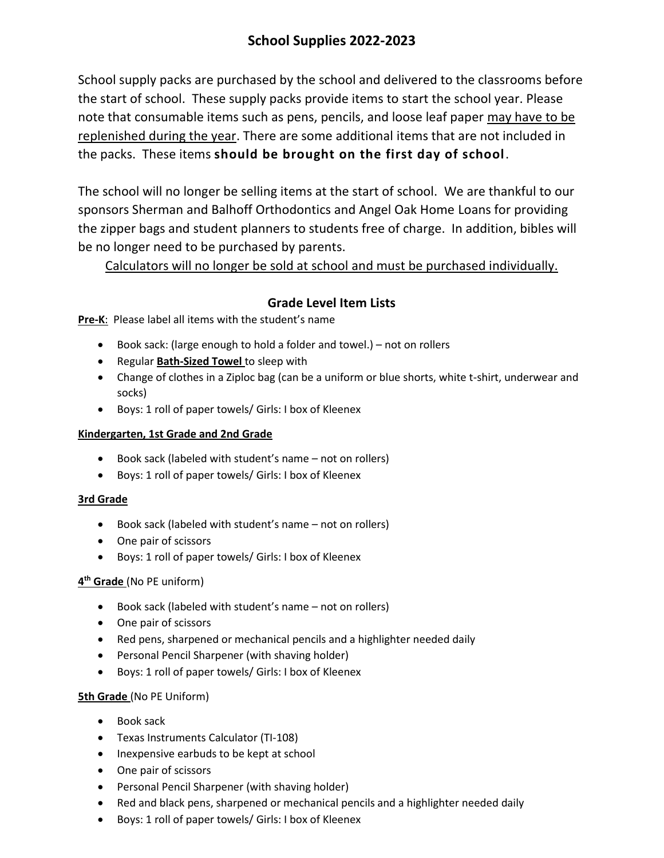# **School Supplies 2022-2023**

School supply packs are purchased by the school and delivered to the classrooms before the start of school. These supply packs provide items to start the school year. Please note that consumable items such as pens, pencils, and loose leaf paper may have to be replenished during the year. There are some additional items that are not included in the packs. These items **should be brought on the first day of school**.

The school will no longer be selling items at the start of school. We are thankful to our sponsors Sherman and Balhoff Orthodontics and Angel Oak Home Loans for providing the zipper bags and student planners to students free of charge. In addition, bibles will be no longer need to be purchased by parents.

Calculators will no longer be sold at school and must be purchased individually.

## **Grade Level Item Lists**

**Pre-K**: Please label all items with the student's name

- Book sack: (large enough to hold a folder and towel.) not on rollers
- Regular **Bath-Sized Towel** to sleep with
- Change of clothes in a Ziploc bag (can be a uniform or blue shorts, white t-shirt, underwear and socks)
- Boys: 1 roll of paper towels/ Girls: I box of Kleenex

#### **Kindergarten, 1st Grade and 2nd Grade**

- Book sack (labeled with student's name not on rollers)
- Boys: 1 roll of paper towels/ Girls: I box of Kleenex

#### **3rd Grade**

- Book sack (labeled with student's name not on rollers)
- One pair of scissors
- Boys: 1 roll of paper towels/ Girls: I box of Kleenex

### **4 th Grade** (No PE uniform)

- Book sack (labeled with student's name not on rollers)
- One pair of scissors
- Red pens, sharpened or mechanical pencils and a highlighter needed daily
- Personal Pencil Sharpener (with shaving holder)
- Boys: 1 roll of paper towels/ Girls: I box of Kleenex

#### **5th Grade** (No PE Uniform)

- Book sack
- Texas Instruments Calculator (TI-108)
- Inexpensive earbuds to be kept at school
- One pair of scissors
- Personal Pencil Sharpener (with shaving holder)
- Red and black pens, sharpened or mechanical pencils and a highlighter needed daily
- Boys: 1 roll of paper towels/ Girls: I box of Kleenex